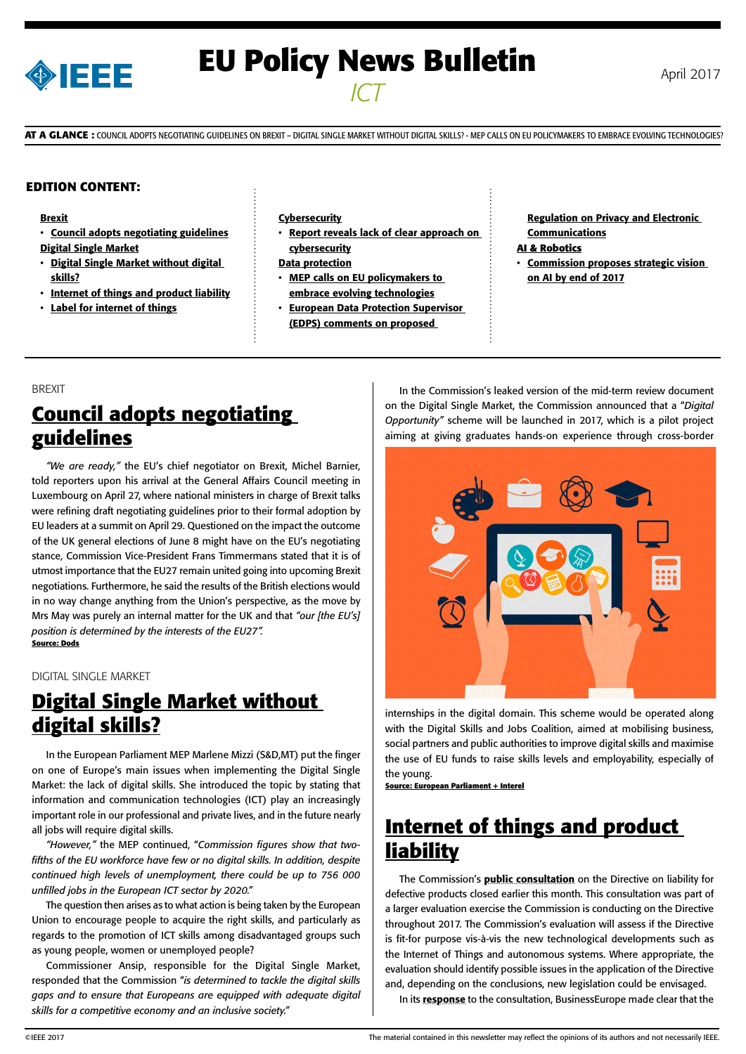

# **EU Policy News Bulletin** April 2017 *ICT*

**AT A GLANCE :** COUNCIL ADOPTS NEGOTIATING GUIDELINES ON BREXIT – DIGITAL SINGLE MARKET WITHOUT DIGITAL SKILLS? - MEP CALLS ON EU POLICYMAKERS TO EMBRACE EVOLVING TECHNOLOGIES?

#### **EDITION CONTENT:**

#### [Brexit](#page-0-0)

- [Council adopts negotiating guidelines](#page-0-0) [Digital Single Market](#page-0-0)
- [Digital Single Market without digital](#page-0-0)  [skills?](#page-0-0)
- [Internet of things and product liability](#page-0-0)
- [Label for internet of things](#page-1-0)

#### [Cybersecurity](#page-1-0)

- Report reveals lack of clear approach on **[cybersecurity](#page-1-0)**
- [Data protection](#page-1-0)
- MEP calls on EU policymakers to [embrace evolving technologies](#page-1-0)
- **European Data Protection Supervisor** [\(EDPS\) comments on proposed](#page-1-0)

[Regulation on Privacy and Electronic](#page-1-0)  [Communications](#page-1-0) **AI & Robotics**

• [Commission proposes strategic vision](#page-2-0)  [on AI by end of 2017](#page-2-0)

#### BREXIT **Council adopts negotiating**

## **guidelines**

*"We are ready,"* the EU's chief negotiator on Brexit, Michel Barnier, told reporters upon his arrival at the General Affairs Council meeting in Luxembourg on April 27, where national ministers in charge of Brexit talks were refining draft negotiating guidelines prior to their formal adoption by EU leaders at a summit on April 29. Questioned on the impact the outcome of the UK general elections of June 8 might have on the EU's negotiating stance, Commission Vice-President Frans Timmermans stated that it is of utmost importance that the EU27 remain united going into upcoming Brexit negotiations. Furthermore, he said the results of the British elections would in no way change anything from the Union's perspective, as the move by Mrs May was purely an internal matter for the UK and that *"our [the EU's] position is determined by the interests of the EU27".* **Source: Dods**

#### DIGITAL SINGLE MARKET

### **Digital Single Market without digital skills?**

In the European Parliament MEP Marlene Mizzi (S&D,MT) put the finger on one of Europe's main issues when implementing the Digital Single Market: the lack of digital skills. She introduced the topic by stating that information and communication technologies (ICT) play an increasingly important role in our professional and private lives, and in the future nearly all jobs will require digital skills.

*"However,"* the MEP continued, "*Commission figures show that twofifths of the EU workforce have few or no digital skills. In addition, despite continued high levels of unemployment, there could be up to 756 000 unfilled jobs in the European ICT sector by 2020."*

The question then arises as to what action is being taken by the European Union to encourage people to acquire the right skills, and particularly as regards to the promotion of ICT skills among disadvantaged groups such as young people, women or unemployed people?

<span id="page-0-0"></span>Commissioner Ansip, responsible for the Digital Single Market, responded that the Commission "*is determined to tackle the digital skills gaps and to ensure that Europeans are equipped with adequate digital skills for a competitive economy and an inclusive society."*

In the Commission's leaked version of the mid-term review document on the Digital Single Market, the Commission announced that a "*Digital Opportunity"* scheme will be launched in 2017, which is a pilot project aiming at giving graduates hands-on experience through cross-border



internships in the digital domain. This scheme would be operated along with the Digital Skills and Jobs Coalition, aimed at mobilising business, social partners and public authorities to improve digital skills and maximise the use of EU funds to raise skills levels and employability, especially of the young.

**Source: European Parliament + Interel**

#### **Internet of things and product liability**

The Commission's **[public consultation](http://ec.europa.eu/growth/tools-databases/newsroom/cf/itemdetail.cfm?item_id=9048)** on the Directive on liability for defective products closed earlier this month. This consultation was part of a larger evaluation exercise the Commission is conducting on the Directive throughout 2017. The Commission's evaluation will assess if the Directive is fit-for purpose vis-à-vis the new technological developments such as the Internet of Things and autonomous systems. Where appropriate, the evaluation should identify possible issues in the application of the Directive and, depending on the conclusions, new legislation could be envisaged.

In its [response](https://www.businesseurope.eu/sites/buseur/files/media/position_papers/legal/2017-04-26_product_liability_-_reply_to_consultation.pdf) to the consultation, BusinessEurope made clear that the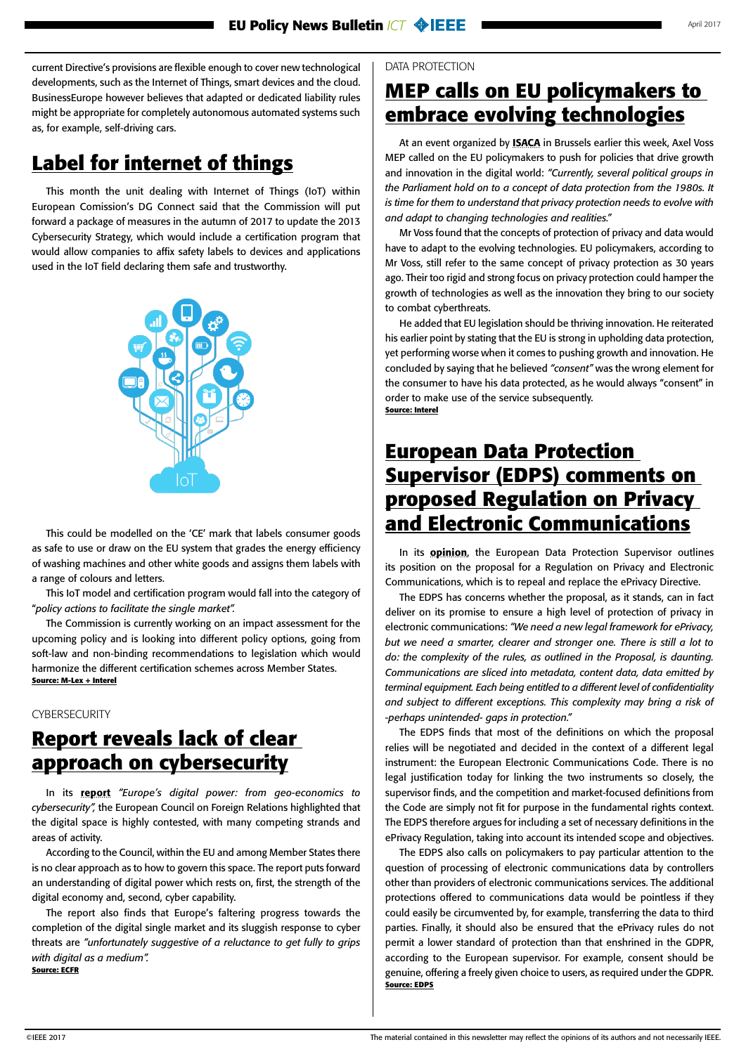<span id="page-1-0"></span>current Directive's provisions are flexible enough to cover new technological developments, such as the Internet of Things, smart devices and the cloud. BusinessEurope however believes that adapted or dedicated liability rules might be appropriate for completely autonomous automated systems such as, for example, self-driving cars.

### **Label for internet of things**

This month the unit dealing with Internet of Things (IoT) within European Comission's DG Connect said that the Commission will put forward a package of measures in the autumn of 2017 to update the 2013 Cybersecurity Strategy, which would include a certification program that would allow companies to affix safety labels to devices and applications used in the IoT field declaring them safe and trustworthy.



This could be modelled on the 'CE' mark that labels consumer goods as safe to use or draw on the EU system that grades the energy efficiency of washing machines and other white goods and assigns them labels with a range of colours and letters.

This IoT model and certification program would fall into the category of "*policy actions to facilitate the single market".*

The Commission is currently working on an impact assessment for the upcoming policy and is looking into different policy options, going from soft-law and non-binding recommendations to legislation which would harmonize the different certification schemes across Member States. **Source: M-Lex + Interel**

#### **CYBERSECURITY**

### **Report reveals lack of clear approach on cybersecurity**

In its [report](http://www.ecfr.eu/page/-/DIGITAL_POWER_PROJECT_REPORT_13_April_pages.pdf) *"Europe's digital power: from geo-economics to cybersecurity",* the European Council on Foreign Relations highlighted that the digital space is highly contested, with many competing strands and areas of activity.

According to the Council, within the EU and among Member States there is no clear approach as to how to govern this space. The report puts forward an understanding of digital power which rests on, first, the strength of the digital economy and, second, cyber capability.

The report also finds that Europe's faltering progress towards the completion of the digital single market and its sluggish response to cyber threats are *"unfortunately suggestive of a reluctance to get fully to grips with digital as a medium".* **Source: ECFR**

### **MEP calls on EU policymakers to embrace evolving technologies**

At an event organized by **[ISACA](https://www.isaca.org/Pages/default.aspx?cid=1210053&Appeal=SEM&gclid=Cj0KEQjw0IvIBRDF0Yzq4qGE4IwBEiQATMQlMVkvM8aVP4xiMOkKFOIvwKtE--9EtVKLUC1xaJ04tEEaAiRA8P8HAQ)** in Brussels earlier this week, Axel Voss MEP called on the EU policymakers to push for policies that drive growth and innovation in the digital world: *"Currently, several political groups in the Parliament hold on to a concept of data protection from the 1980s. It is time for them to understand that privacy protection needs to evolve with and adapt to changing technologies and realities."* 

Mr Voss found that the concepts of protection of privacy and data would have to adapt to the evolving technologies. EU policymakers, according to Mr Voss, still refer to the same concept of privacy protection as 30 years ago. Their too rigid and strong focus on privacy protection could hamper the growth of technologies as well as the innovation they bring to our society to combat cyberthreats.

He added that EU legislation should be thriving innovation. He reiterated his earlier point by stating that the EU is strong in upholding data protection, yet performing worse when it comes to pushing growth and innovation. He concluded by saying that he believed *"consent"* was the wrong element for the consumer to have his data protected, as he would always "consent" in order to make use of the service subsequently. **Source: Interel**

#### **European Data Protection Supervisor (EDPS) comments on proposed Regulation on Privacy and Electronic Communications**

In its **[opinion](https://edps.europa.eu/sites/edp/files/publication/17-04-24_eprivacy_en.pdf)**, the European Data Protection Supervisor outlines its position on the proposal for a Regulation on Privacy and Electronic Communications, which is to repeal and replace the ePrivacy Directive.

The EDPS has concerns whether the proposal, as it stands, can in fact deliver on its promise to ensure a high level of protection of privacy in electronic communications: *"We need a new legal framework for ePrivacy, but we need a smarter, clearer and stronger one. There is still a lot to do: the complexity of the rules, as outlined in the Proposal, is daunting. Communications are sliced into metadata, content data, data emitted by terminal equipment. Each being entitled to a different level of confidentiality and subject to different exceptions. This complexity may bring a risk of -perhaps unintended- gaps in protection."* 

The EDPS finds that most of the definitions on which the proposal relies will be negotiated and decided in the context of a different legal instrument: the European Electronic Communications Code. There is no legal justification today for linking the two instruments so closely, the supervisor finds, and the competition and market-focused definitions from the Code are simply not fit for purpose in the fundamental rights context. The EDPS therefore argues for including a set of necessary definitions in the ePrivacy Regulation, taking into account its intended scope and objectives.

The EDPS also calls on policymakers to pay particular attention to the question of processing of electronic communications data by controllers other than providers of electronic communications services. The additional protections offered to communications data would be pointless if they could easily be circumvented by, for example, transferring the data to third parties. Finally, it should also be ensured that the ePrivacy rules do not permit a lower standard of protection than that enshrined in the GDPR, according to the European supervisor. For example, consent should be genuine, offering a freely given choice to users, as required under the GDPR. **Source: EDPS**